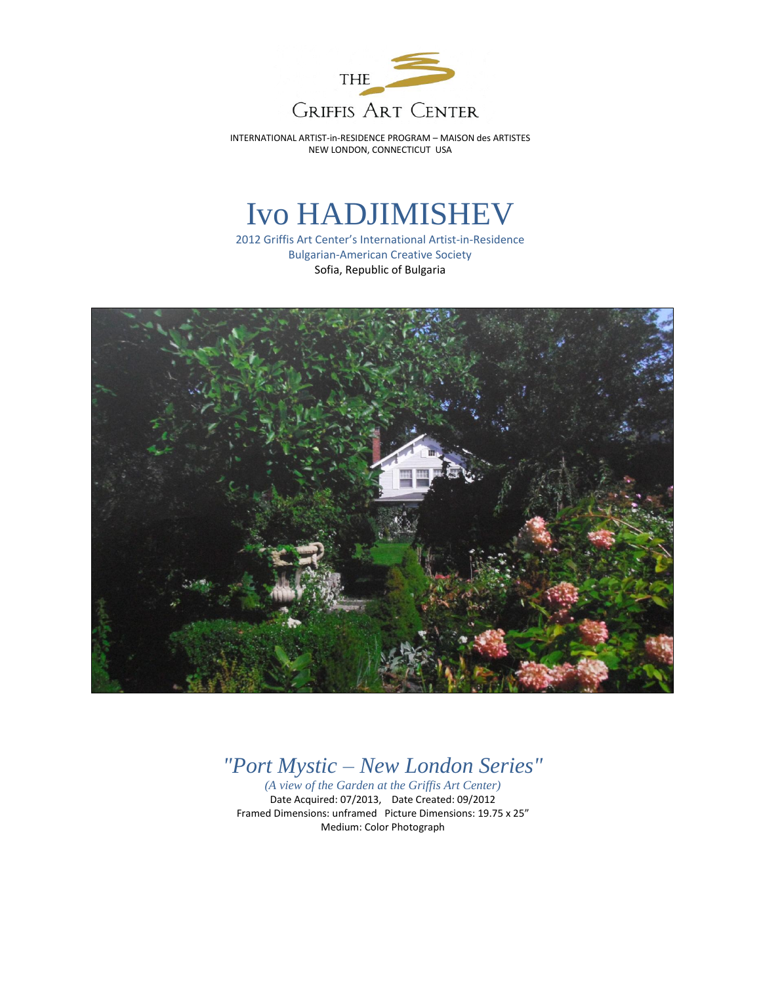

# Ivo HADJIMISHEV

2012 Griffis Art Center's International Artist-in-Residence Bulgarian-American Creative Society Sofia, Republic of Bulgaria



## *"Port Mystic – New London Series"*

*(A view of the Garden at the Griffis Art Center)* Date Acquired: 07/2013, Date Created: 09/2012 Framed Dimensions: unframed Picture Dimensions: 19.75 x 25" Medium: Color Photograph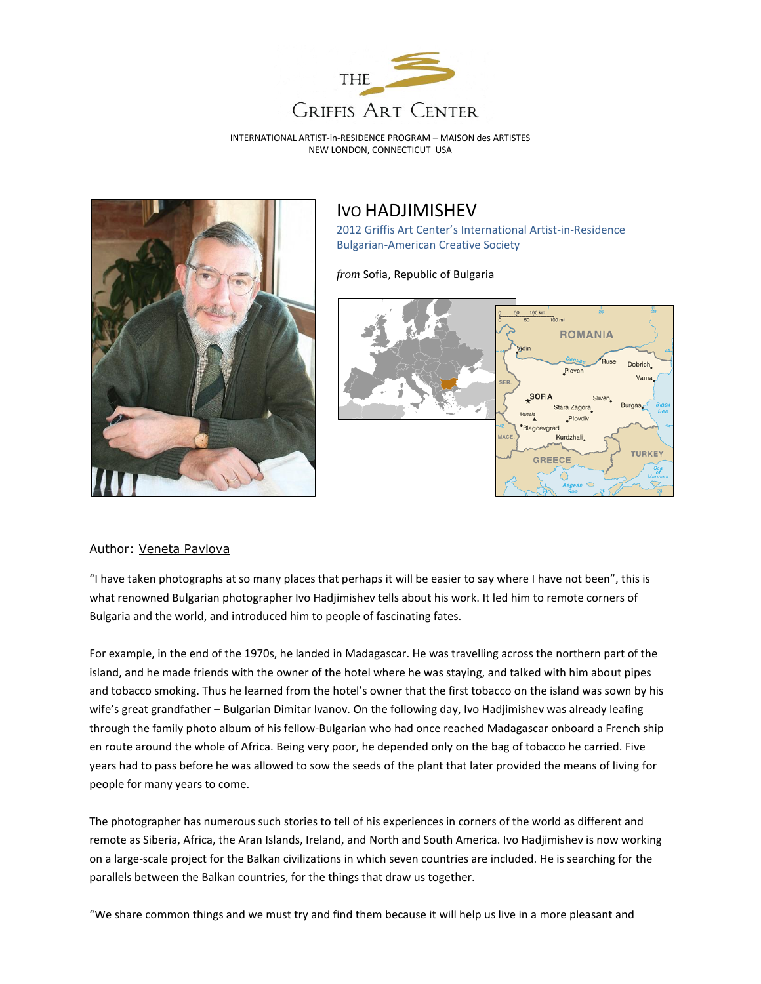



#### IVO HADJIMISHEV

2012 Griffis Art Center's International Artist-in-Residence Bulgarian-American Creative Society

*from* Sofia, Republic of Bulgaria



#### Author: [Veneta Pavlova](http://bnr.bg/sites/en/search/Pages/results.aspx?aname=Veneta%20Pavlova%20)

"I have taken photographs at so many places that perhaps it will be easier to say where I have not been", this is what renowned Bulgarian photographer Ivo Hadjimishev tells about his work. It led him to remote corners of Bulgaria and the world, and introduced him to people of fascinating fates.

For example, in the end of the 1970s, he landed in Madagascar. He was travelling across the northern part of the island, and he made friends with the owner of the hotel where he was staying, and talked with him about pipes and tobacco smoking. Thus he learned from the hotel's owner that the first tobacco on the island was sown by his wife's great grandfather – Bulgarian Dimitar Ivanov. On the following day, Ivo Hadjimishev was already leafing through the family photo album of his fellow-Bulgarian who had once reached Madagascar onboard a French ship en route around the whole of Africa. Being very poor, he depended only on the bag of tobacco he carried. Five years had to pass before he was allowed to sow the seeds of the plant that later provided the means of living for people for many years to come.

The photographer has numerous such stories to tell of his experiences in corners of the world as different and remote as Siberia, Africa, the Aran Islands, Ireland, and North and South America. Ivo Hadjimishev is now working on a large-scale project for the Balkan civilizations in which seven countries are included. He is searching for the parallels between the Balkan countries, for the things that draw us together.

"We share common things and we must try and find them because it will help us live in a more pleasant and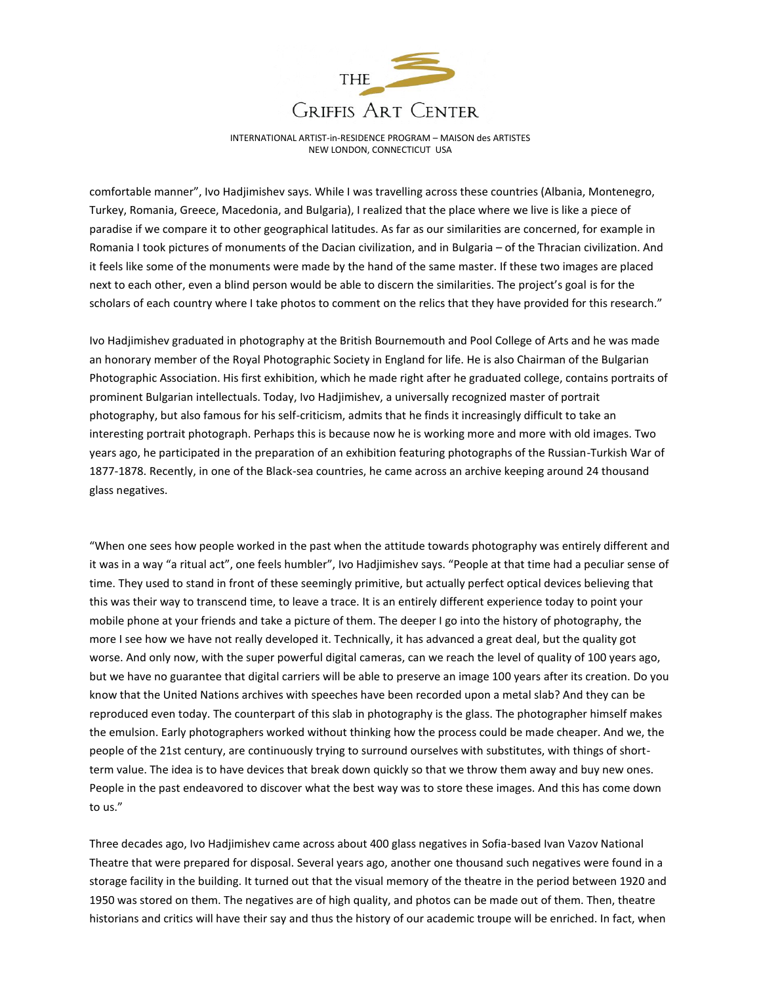

comfortable manner", Ivo Hadjimishev says. While I was travelling across these countries (Albania, Montenegro, Turkey, Romania, Greece, Macedonia, and Bulgaria), I realized that the place where we live is like a piece of paradise if we compare it to other geographical latitudes. As far as our similarities are concerned, for example in Romania I took pictures of monuments of the Dacian civilization, and in Bulgaria – of the Thracian civilization. And it feels like some of the monuments were made by the hand of the same master. If these two images are placed next to each other, even a blind person would be able to discern the similarities. The project's goal is for the scholars of each country where I take photos to comment on the relics that they have provided for this research."

Ivo Hadjimishev graduated in photography at the British Bournemouth and Pool College of Arts and he was made an honorary member of the Royal Photographic Society in England for life. He is also Chairman of the Bulgarian Photographic Association. His first exhibition, which he made right after he graduated college, contains portraits of prominent Bulgarian intellectuals. Today, Ivo Hadjimishev, a universally recognized master of portrait photography, but also famous for his self-criticism, admits that he finds it increasingly difficult to take an interesting portrait photograph. Perhaps this is because now he is working more and more with old images. Two years ago, he participated in the preparation of an exhibition featuring photographs of the Russian-Turkish War of 1877-1878. Recently, in one of the Black-sea countries, he came across an archive keeping around 24 thousand glass negatives.

"When one sees how people worked in the past when the attitude towards photography was entirely different and it was in a way "a ritual act", one feels humbler", Ivo Hadjimishev says. "People at that time had a peculiar sense of time. They used to stand in front of these seemingly primitive, but actually perfect optical devices believing that this was their way to transcend time, to leave a trace. It is an entirely different experience today to point your mobile phone at your friends and take a picture of them. The deeper I go into the history of photography, the more I see how we have not really developed it. Technically, it has advanced a great deal, but the quality got worse. And only now, with the super powerful digital cameras, can we reach the level of quality of 100 years ago, but we have no guarantee that digital carriers will be able to preserve an image 100 years after its creation. Do you know that the United Nations archives with speeches have been recorded upon a metal slab? And they can be reproduced even today. The counterpart of this slab in photography is the glass. The photographer himself makes the emulsion. Early photographers worked without thinking how the process could be made cheaper. And we, the people of the 21st century, are continuously trying to surround ourselves with substitutes, with things of shortterm value. The idea is to have devices that break down quickly so that we throw them away and buy new ones. People in the past endeavored to discover what the best way was to store these images. And this has come down to us."

Three decades ago, Ivo Hadjimishev came across about 400 glass negatives in Sofia-based Ivan Vazov National Theatre that were prepared for disposal. Several years ago, another one thousand such negatives were found in a storage facility in the building. It turned out that the visual memory of the theatre in the period between 1920 and 1950 was stored on them. The negatives are of high quality, and photos can be made out of them. Then, theatre historians and critics will have their say and thus the history of our academic troupe will be enriched. In fact, when